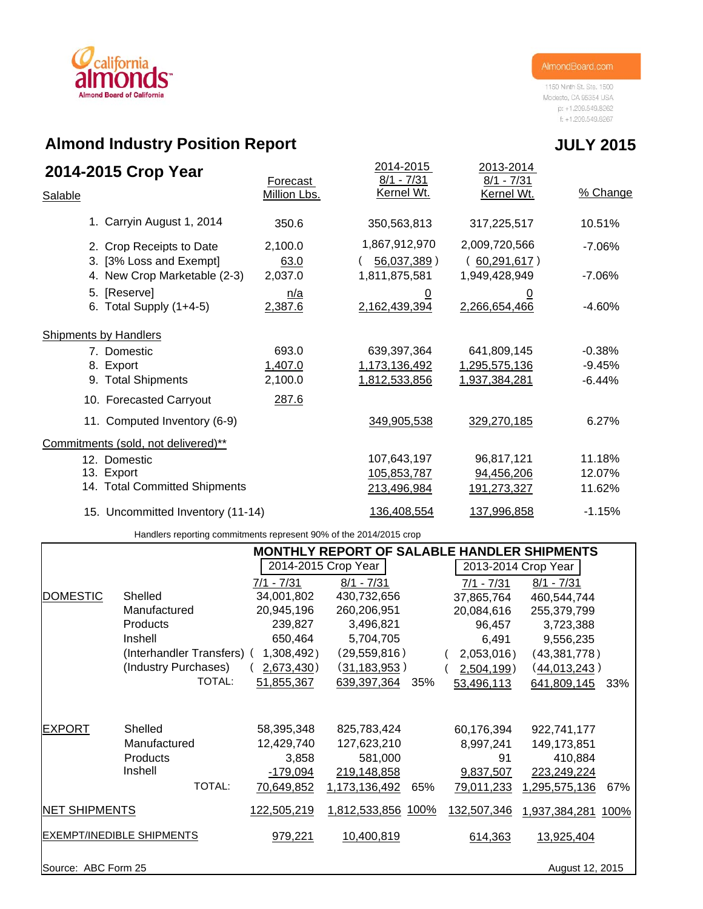# california **Almond Board of California**

1150 Ninth St. Ste. 1500 Modesto, CA 95354 USA p: +1.209.549.8262  $f: +1.209.549.8267$ 

# **Almond Industry Position Report**

| 2014-2015 Crop Year<br>Salable                      | Forecast<br>Million Lbs. | 2014-2015<br>$8/1 - 7/31$<br>Kernel Wt. | 2013-2014<br>$8/1 - 7/31$<br>Kernel Wt. | % Change  |
|-----------------------------------------------------|--------------------------|-----------------------------------------|-----------------------------------------|-----------|
| 1. Carryin August 1, 2014                           | 350.6                    | 350,563,813                             | 317,225,517                             | 10.51%    |
| 2. Crop Receipts to Date<br>3. [3% Loss and Exempt] | 2,100.0<br>63.0          | 1,867,912,970<br>$56,037,389$ )         | 2,009,720,566<br>(60, 291, 617)         | $-7.06%$  |
| 4. New Crop Marketable (2-3)                        | 2,037.0                  | 1,811,875,581                           | 1,949,428,949                           | $-7.06\%$ |
| 5. [Reserve]<br>6. Total Supply $(1+4-5)$           | n/a<br>2,387.6           | <u>0</u><br>2,162,439,394               | <u>0</u><br>2,266,654,466               | $-4.60%$  |
| <b>Shipments by Handlers</b>                        |                          |                                         |                                         |           |
| 7. Domestic                                         | 693.0                    | 639,397,364                             | 641,809,145                             | $-0.38%$  |
| 8. Export                                           | 1,407.0                  | 1,173,136,492                           | 1,295,575,136                           | $-9.45%$  |
| 9. Total Shipments                                  | 2,100.0                  | 1,812,533,856                           | 1,937,384,281                           | $-6.44%$  |
| 10. Forecasted Carryout                             | 287.6                    |                                         |                                         |           |
| 11. Computed Inventory (6-9)                        |                          | 349,905,538                             | 329,270,185                             | 6.27%     |
| Commitments (sold, not delivered)**                 |                          |                                         |                                         |           |
| 12. Domestic                                        |                          | 107,643,197                             | 96,817,121                              | 11.18%    |
| 13. Export                                          |                          | 105,853,787                             | 94,456,206                              | 12.07%    |
| 14. Total Committed Shipments                       |                          | 213,496,984                             | 191,273,327                             | 11.62%    |
| 15. Uncommitted Inventory (11-14)                   |                          | 136,408,554                             | 137,996,858                             | $-1.15%$  |

Handlers reporting commitments represent 90% of the 2014/2015 crop

|                                  |                            |              | <b>MONTHLY REPORT OF SALABLE HANDLER SHIPMENTS</b> |      |                   |                     |     |
|----------------------------------|----------------------------|--------------|----------------------------------------------------|------|-------------------|---------------------|-----|
|                                  |                            |              | 2014-2015 Crop Year                                |      |                   | 2013-2014 Crop Year |     |
|                                  |                            | $7/1 - 7/31$ | $8/1 - 7/31$                                       |      | $7/1 - 7/31$      | $8/1 - 7/31$        |     |
| <b>DOMESTIC</b>                  | Shelled                    | 34,001,802   | 430,732,656                                        |      | 37,865,764        | 460,544,744         |     |
|                                  | Manufactured               | 20,945,196   | 260,206,951                                        |      | 20,084,616        | 255,379,799         |     |
|                                  | Products                   | 239,827      | 3,496,821                                          |      | 96,457            | 3,723,388           |     |
|                                  | Inshell                    | 650,464      | 5,704,705                                          |      | 6,491             | 9,556,235           |     |
|                                  | (Interhandler Transfers) ( | 1,308,492)   | (29, 559, 816)                                     |      | 2,053,016)        | (43,381,778)        |     |
|                                  | (Industry Purchases)       | 2,673,430)   | (31, 183, 953)                                     |      | 2,504,199)        | (44,013,243)        |     |
|                                  | TOTAL:                     | 51,855,367   | 639,397,364                                        | 35%  | 53,496,113        | 641,809,145         | 33% |
|                                  |                            |              |                                                    |      |                   |                     |     |
| <b>EXPORT</b>                    | Shelled                    | 58,395,348   | 825,783,424                                        |      | 60,176,394        | 922,741,177         |     |
|                                  | Manufactured               | 12,429,740   | 127,623,210                                        |      | 8,997,241         | 149, 173, 851       |     |
|                                  | Products                   | 3,858        | 581,000                                            |      | 91                | 410,884             |     |
|                                  | Inshell                    | $-179,094$   | 219,148,858                                        |      | 9,837,507         | 223,249,224         |     |
|                                  | TOTAL:                     | 70,649,852   | 1,173,136,492                                      | 65%  | <u>79,011,233</u> | 1,295,575,136       | 67% |
| <b>NET SHIPMENTS</b>             |                            | 122,505,219  | 1,812,533,856                                      | 100% | 132,507,346       | 1,937,384,281 100%  |     |
| <b>EXEMPT/INEDIBLE SHIPMENTS</b> |                            | 979,221      | 10,400,819                                         |      | 614,363           | 13,925,404          |     |
| Source: ABC Form 25              |                            |              |                                                    |      |                   | August 12, 2015     |     |

# **JULY 2015**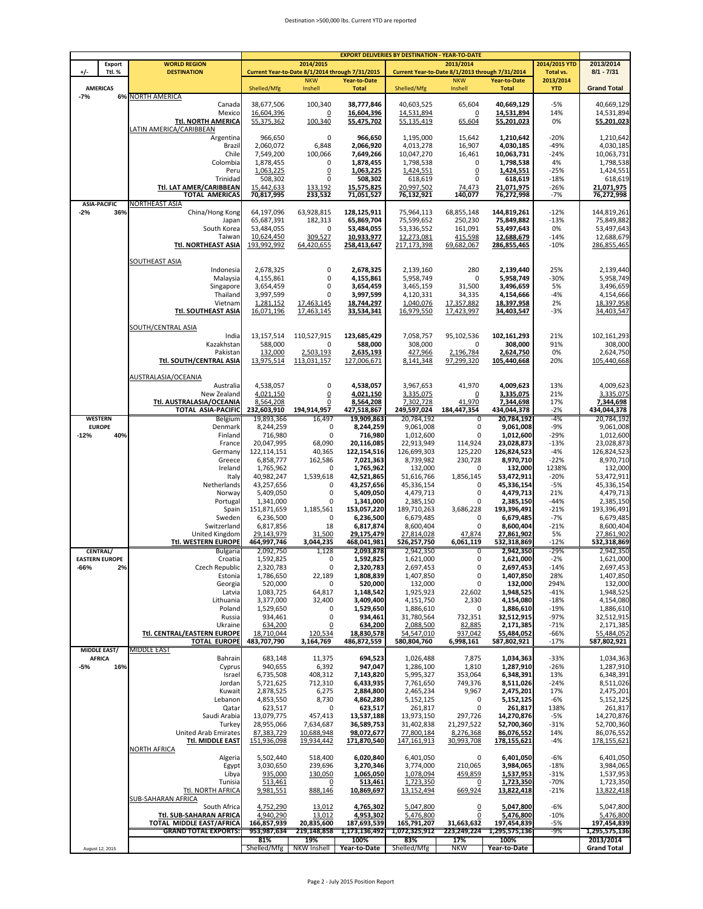#### Destination >500,000 lbs. Current YTD are reported

|        |                                      |                                                                |                            |                                                               |                              | <b>EXPORT DELIVERIES BY DESTINATION - YEAR-TO-DATE</b> |                                                               |                              |                        |                              |
|--------|--------------------------------------|----------------------------------------------------------------|----------------------------|---------------------------------------------------------------|------------------------------|--------------------------------------------------------|---------------------------------------------------------------|------------------------------|------------------------|------------------------------|
|        | <b>Export</b>                        | <b>WORLD REGION</b>                                            |                            | 2014/2015                                                     |                              |                                                        | 2013/2014                                                     |                              | 2014/2015 YTD          | 2013/2014                    |
| +/-    | Ttl.%                                | <b>DESTINATION</b>                                             |                            | Current Year-to-Date 8/1/2014 through 7/31/2015<br><b>NKW</b> | Year-to-Date                 |                                                        | Current Year-to-Date 8/1/2013 through 7/31/2014<br><b>NKW</b> | <b>Year-to-Date</b>          | Total vs.<br>2013/2014 | $8/1 - 7/31$                 |
|        | <b>AMERICAS</b>                      |                                                                | Shelled/Mfg                | Inshell                                                       | <b>Total</b>                 | Shelled/Mfg                                            | Inshell                                                       | <b>Total</b>                 | <b>YTD</b>             | <b>Grand Total</b>           |
| $-7%$  |                                      | <b>6% NORTH AMERICA</b>                                        |                            |                                                               |                              |                                                        |                                                               |                              |                        |                              |
|        |                                      | Canada<br>Mexico                                               | 38,677,506<br>16,604,396   | 100,340<br>$\overline{0}$                                     | 38,777,846<br>16,604,396     | 40,603,525<br>14,531,894                               | 65,604<br>0                                                   | 40,669,129<br>14,531,894     | $-5%$<br>14%           | 40,669,129<br>14,531,894     |
|        |                                      | <b>Ttl. NORTH AMERICA</b>                                      | 55,375,362                 | 100,340                                                       | 55,475,702                   | 55,135,419                                             | 65,604                                                        | 55,201,023                   | 0%                     | 55,201,023                   |
|        |                                      | LATIN AMERICA/CARIBBEAN                                        |                            |                                                               |                              |                                                        |                                                               |                              |                        |                              |
|        |                                      | Argentina                                                      | 966,650                    | $\mathbf 0$                                                   | 966,650                      | 1,195,000                                              | 15,642                                                        | 1,210,642                    | $-20%$                 | 1,210,642                    |
|        |                                      | Brazil<br>Chile                                                | 2,060,072<br>7,549,200     | 6,848<br>100,066                                              | 2,066,920<br>7,649,266       | 4,013,278<br>10,047,270                                | 16,907<br>16,461                                              | 4,030,185<br>10,063,731      | $-49%$<br>$-24%$       | 4,030,185<br>10,063,731      |
|        |                                      | Colombia                                                       | 1,878,455                  | 0                                                             | 1,878,455                    | 1,798,538                                              | 0                                                             | 1,798,538                    | 4%                     | 1,798,538                    |
|        |                                      | Peru                                                           | 1,063,225                  | $\overline{0}$                                                | 1.063.225                    | 1,424,551                                              | $\overline{0}$                                                | 1,424,551                    | $-25%$                 | 1,424,551                    |
|        |                                      | Trinidad                                                       | 508,302                    | $\mathbf 0$                                                   | 508,302                      | 618,619                                                | 0                                                             | 618,619                      | $-18%$                 | 618,619                      |
|        |                                      | Ttl. LAT AMER/CARIBBEAN<br><b>TOTAL AMERICAS</b>               | 15,442,633<br>70,817,995   | 133,192<br>233,532                                            | 15,575,825<br>71,051,527     | 20,997,502<br>76,132,921                               | 74,473<br>140,077                                             | 21,071,975<br>76,272,998     | $-26%$<br>$-7%$        | 21,071,975<br>76,272,998     |
|        | <b>ASIA-PACIFIC</b>                  | NORTHEAST ASIA                                                 |                            |                                                               |                              |                                                        |                                                               |                              |                        |                              |
| $-2%$  | 36%                                  | China/Hong Kong                                                | 64,197,096                 | 63,928,815                                                    | 128,125,911                  | 75,964,113                                             | 68,855,148                                                    | 144,819,261                  | $-12%$                 | 144,819,261                  |
|        |                                      | Japan                                                          | 65,687,391                 | 182,313                                                       | 65,869,704                   | 75,599,652                                             | 250,230                                                       | 75,849,882                   | $-13%$                 | 75,849,882                   |
|        |                                      | South Korea<br>Taiwar                                          | 53,484,055<br>10,624,450   | $\mathbf 0$<br>309,527                                        | 53,484,055<br>10,933,977     | 53,336,552<br>12,273,081                               | 161,091<br>415,598                                            | 53,497,643<br>12,688,679     | 0%<br>$-14%$           | 53,497,643<br>12,688,679     |
|        |                                      | <b>Ttl. NORTHEAST ASIA</b>                                     | 193,992,992                | 64,420,655                                                    | 258,413,647                  | 217,173,398                                            | 69,682,067                                                    | 286,855,465                  | $-10%$                 | 286,855,465                  |
|        |                                      |                                                                |                            |                                                               |                              |                                                        |                                                               |                              |                        |                              |
|        |                                      | <b>SOUTHEAST ASIA</b>                                          |                            |                                                               |                              |                                                        |                                                               |                              |                        |                              |
|        |                                      | Indonesia<br>Malaysia                                          | 2,678,325<br>4,155,861     | $\mathbf 0$<br>$\mathbf 0$                                    | 2,678,325<br>4,155,861       | 2,139,160<br>5.958.749                                 | 280<br>0                                                      | 2,139,440<br>5,958,749       | 25%<br>$-30%$          | 2,139,440<br>5,958,749       |
|        |                                      | Singapore                                                      | 3,654,459                  | 0                                                             | 3,654,459                    | 3,465,159                                              | 31,500                                                        | 3,496,659                    | 5%                     | 3,496,659                    |
|        |                                      | Thailand                                                       | 3,997,599                  | $\mathbf 0$                                                   | 3,997,599                    | 4,120,331                                              | 34,335                                                        | 4,154,666                    | $-4%$                  | 4,154,666                    |
|        |                                      | Vietnam                                                        | 1,281,152                  | 17,463,145                                                    | 18,744,297                   | 1,040,076                                              | 17,357,882                                                    | 18,397,958                   | 2%                     | 18,397,958                   |
|        |                                      | Ttl. SOUTHEAST ASIA                                            | 16,071,196                 | 17.463.145                                                    | 33,534,341                   | 16,979,550                                             | 17,423,997                                                    | 34,403,547                   | $-3%$                  | 34,403,547                   |
|        |                                      | SOUTH/CENTRAL ASIA                                             |                            |                                                               |                              |                                                        |                                                               |                              |                        |                              |
|        |                                      | India                                                          | 13,157,514                 | 110,527,915                                                   | 123,685,429                  | 7,058,757                                              | 95,102,536                                                    | 102,161,293                  | 21%                    | 102,161,293                  |
|        |                                      | Kazakhstan                                                     | 588,000                    | 0                                                             | 588,000                      | 308,000                                                | 0                                                             | 308,000                      | 91%                    | 308,000                      |
|        |                                      | Pakistar<br>Ttl. SOUTH/CENTRAL ASIA                            | 132,000<br>13,975,514      | 2,503,193<br>113,031,157                                      | 2,635,193<br>127,006,671     | 427,966<br>8,141,348                                   | 2,196,784<br>97,299,320                                       | 2,624,750<br>105,440,668     | 0%<br>20%              | 2,624,750<br>105,440,668     |
|        |                                      |                                                                |                            |                                                               |                              |                                                        |                                                               |                              |                        |                              |
|        |                                      | AUSTRALASIA/OCEANIA                                            |                            |                                                               |                              |                                                        |                                                               |                              |                        |                              |
|        |                                      | Australia                                                      | 4,538,057                  | $\mathbf 0$                                                   | 4,538,057                    | 3,967,653                                              | 41,970                                                        | 4,009,623                    | 13%                    | 4,009,623                    |
|        |                                      | New Zealand<br>Ttl. AUSTRALASIA/OCEANIA                        | 4,021,150<br>8,564,208     | $\overline{0}$<br>$\overline{0}$                              | 4,021,150<br>8,564,208       | 3,335,075<br>7,302,728                                 | $\overline{0}$<br>41,970                                      | 3,335,075                    | 21%<br>17%             | 3,335,075<br>7,344,698       |
|        |                                      | <b>TOTAL ASIA-PACIFIC</b>                                      | 232,603,910                | 194,914,957                                                   | 427,518,867                  | 249,597,024                                            | 184,447,354                                                   | 7,344,698<br>434,044,378     | $-2%$                  | 434,044,378                  |
|        | <b>WESTERN</b>                       | Belgium                                                        | 19,893,366                 | 16,497                                                        | 19,909,863                   | 20,784,192                                             | 0                                                             | 20,784,192                   | -4%                    | 20,784,192                   |
|        | <b>EUROPE</b>                        | Denmark                                                        | 8,244,259                  | 0                                                             | 8,244,259                    | 9,061,008                                              | 0                                                             | 9,061,008                    | $-9%$                  | 9,061,008                    |
| $-12%$ | 40%                                  | Finland<br>France                                              | 716,980                    | 0                                                             | 716,980                      | 1,012,600                                              | 0                                                             | 1,012,600                    | $-29%$<br>$-13%$       | 1,012,600                    |
|        |                                      | Germany                                                        | 20,047,995<br>122,114,151  | 68,090<br>40,365                                              | 20,116,085<br>122,154,516    | 22,913,949<br>126,699,303                              | 114,924<br>125,220                                            | 23,028,873<br>126,824,523    | $-4%$                  | 23,028,873<br>126,824,523    |
|        |                                      | Greece                                                         | 6,858,777                  | 162,586                                                       | 7,021,363                    | 8,739,982                                              | 230,728                                                       | 8,970,710                    | $-22%$                 | 8,970,710                    |
|        |                                      | Ireland                                                        | 1,765,962                  | 0                                                             | 1,765,962                    | 132,000                                                | 0                                                             | 132,000                      | 1238%                  | 132,000                      |
|        |                                      | Italy                                                          | 40,982,247                 | 1,539,618                                                     | 42,521,865                   | 51,616,766                                             | 1,856,145                                                     | 53,472,911                   | $-20%$                 | 53,472,911                   |
|        |                                      | Netherlands<br>Norway                                          | 43,257,656<br>5,409,050    | 0<br>0                                                        | 43,257,656<br>5,409,050      | 45,336,154<br>4,479,713                                | 0<br>0                                                        | 45,336,154<br>4,479,713      | $-5%$<br>21%           | 45,336,154<br>4,479,713      |
|        |                                      | Portugal                                                       | 1,341,000                  | 0                                                             | 1,341,000                    | 2,385,150                                              | 0                                                             | 2,385,150                    | $-44%$                 | 2,385,150                    |
|        |                                      | Spain                                                          | 151,871,659                | 1,185,561                                                     | 153,057,220                  | 189,710,263                                            | 3,686,228                                                     | 193,396,491                  | $-21%$                 | 193,396,491                  |
|        |                                      | Sweden                                                         | 6,236,500                  | 0                                                             | 6,236,500                    | 6,679,485                                              | 0                                                             | 6,679,485                    | $-7%$                  | 6,679,485                    |
|        |                                      | Switzerland<br>United Kingdom                                  | 6,817,856<br>29,143,979    | 18<br>31,500                                                  | 6,817,874<br>29,175,479      | 8,600,404<br>27.814.028                                | 0<br>47,874                                                   | 8,600,404<br>27,861,902      | $-21%$<br>5%           | 8,600,404<br>27.861.902      |
|        |                                      | Ttl. WESTERN EUROPE                                            | 464,997,746                | 3,044,235                                                     | 468,041,981                  | 526,257,750                                            | 6,061,119                                                     | 532,318,869                  | $-12%$                 | 532,318,869                  |
|        | CENTRAL/                             | Bulgaria                                                       | 2,092,750                  | 1,128                                                         | 2,093,878                    | 2,942,350                                              | 0                                                             | 2,942,350                    | $-29%$                 | 2,942,350                    |
|        | <b>EASTERN EUROPE</b>                | Croatia                                                        | 1,592,825                  | 0                                                             | 1,592,825                    | 1,621,000                                              | 0                                                             | 1,621,000                    | $-2%$                  | 1,621,000                    |
| -66%   | 2%                                   | Czech Republic<br>Estonia                                      | 2,320,783<br>1,786,650     | 0<br>22,189                                                   | 2,320,783<br>1,808,839       | 2,697,453<br>1,407,850                                 | 0<br>0                                                        | 2,697,453<br>1,407,850       | $-14%$<br>28%          | 2,697,453<br>1,407,850       |
|        |                                      | Georgia                                                        | 520,000                    | 0                                                             | 520.000                      | 132,000                                                | 0                                                             | 132,000                      | 294%                   | 132,000                      |
|        |                                      | Latvia                                                         | 1,083,725                  | 64,817                                                        | 1,148,542                    | 1,925,923                                              | 22,602                                                        | 1,948,525                    | $-41%$                 | 1,948,525                    |
|        |                                      | Lithuania                                                      | 3,377,000                  | 32,400                                                        | 3,409,400                    | 4,151,750                                              | 2,330                                                         | 4,154,080                    | $-18%$                 | 4,154,080                    |
|        |                                      | Poland<br>Russia                                               | 1,529,650<br>934,461       | 0<br>0                                                        | 1,529,650<br>934,461         | 1,886,610<br>31,780,564                                | 0<br>732,351                                                  | 1,886,610<br>32,512,915      | $-19%$<br>$-97%$       | 1,886,610<br>32,512,915      |
|        |                                      | Ukraine                                                        | 634,200                    | $\overline{0}$                                                | 634,200                      | 2,088,500                                              | 82,885                                                        | 2,171,385                    | $-71%$                 | 2,171,385                    |
|        |                                      | Ttl. CENTRAL/EASTERN EUROPE                                    | 18,710,044                 | 120,534                                                       | 18,830,578                   | 54,547,010                                             | 937,042                                                       | 55,484,052                   | $-66%$                 | 55,484,052                   |
|        |                                      | <b>TOTAL EUROPE</b>                                            | 483,707,790                | 3,164,769                                                     | 486,872,559                  | 580,804,760                                            | 6,998,161                                                     | 587,802,921                  | $-17%$                 | 587,802,921                  |
|        | <b>MIDDLE EAST/</b><br><b>AFRICA</b> | <b>MIDDLE EAST</b><br>Bahrain                                  | 683,148                    | 11,375                                                        | 694,523                      | 1,026,488                                              | 7,875                                                         | 1,034,363                    | $-33%$                 | 1,034,363                    |
| $-5%$  | 16%                                  | Cyprus                                                         | 940,655                    | 6,392                                                         | 947,047                      | 1,286,100                                              | 1,810                                                         | 1,287,910                    | $-26%$                 | 1,287,910                    |
|        |                                      | Israel                                                         | 6,735,508                  | 408,312                                                       | 7,143,820                    | 5,995,327                                              | 353,064                                                       | 6,348,391                    | 13%                    | 6,348,391                    |
|        |                                      | Jordan                                                         | 5,721,625                  | 712,310                                                       | 6,433,935                    | 7,761,650                                              | 749,376                                                       | 8,511,026                    | $-24%$                 | 8,511,026                    |
|        |                                      | Kuwait<br>Lebanon                                              | 2,878,525                  | 6,275                                                         | 2,884,800<br>4,862,280       | 2,465,234                                              | 9,967                                                         | 2,475,201<br>5,152,125       | 17%                    | 2,475,201                    |
|        |                                      | Qatar                                                          | 4,853,550<br>623,517       | 8,730<br>0                                                    | 623,517                      | 5,152,125<br>261,817                                   | 0<br>0                                                        | 261,817                      | $-6%$<br>138%          | 5,152,125<br>261,817         |
|        |                                      | Saudi Arabia                                                   | 13,079,775                 | 457,413                                                       | 13,537,188                   | 13,973,150                                             | 297,726                                                       | 14,270,876                   | $-5%$                  | 14,270,876                   |
|        |                                      | Turkey                                                         | 28,955,066                 | 7,634,687                                                     | 36,589,753                   | 31,402,838                                             | 21,297,522                                                    | 52,700,360                   | $-31%$                 | 52,700,360                   |
|        |                                      | <b>United Arab Emirates</b>                                    | 87,383,729                 | 10,688,948                                                    | 98,072,677                   | 77,800,184                                             | 8,276,368                                                     | 86,076,552                   | 14%                    | 86,076,552                   |
|        |                                      | Ttl. MIDDLE EAST<br><b>NORTH AFRICA</b>                        | 151,936,098                | 19,934,442                                                    | 171,870,540                  | 147,161,913                                            | 30,993,708                                                    | 178,155,621                  | $-4%$                  | 178,155,621                  |
|        |                                      | Algeria                                                        | 5,502,440                  | 518,400                                                       | 6,020,840                    | 6,401,050                                              | 0                                                             | 6,401,050                    | $-6%$                  | 6,401,050                    |
|        |                                      | Egypt                                                          | 3,030,650                  | 239,696                                                       | 3,270,346                    | 3,774,000                                              | 210,065                                                       | 3,984,065                    | $-18%$                 | 3,984,065                    |
|        |                                      | Libya                                                          | 935,000                    | 130,050                                                       | 1,065,050                    | 1,078,094                                              | 459,859                                                       | 1,537,953                    | $-31%$                 | 1,537,953                    |
|        |                                      | Tunisia                                                        | 513,461                    | $\overline{0}$                                                | 513,461                      | 1,723,350                                              | $\overline{0}$                                                | 1,723,350                    | $-70%$                 | 1,723,350                    |
|        |                                      | <b>Ttl. NORTH AFRICA</b><br><b>SUB-SAHARAN AFRICA</b>          | 9,981,551                  | 888,146                                                       | 10,869,697                   | 13,152,494                                             | 669,924                                                       | 13,822,418                   | $-21%$                 | 13,822,418                   |
|        |                                      | South Africa                                                   | 4,752,290                  | 13,012                                                        | 4,765,302                    | 5,047,800                                              | $\overline{0}$                                                | 5,047,800                    | $-6%$                  | 5,047,800                    |
|        |                                      | Ttl. SUB-SAHARAN AFRICA                                        | 4,940,290                  | 13,012                                                        | 4,953,302                    | 5,476,800                                              | 0                                                             | 5,476,800                    | $-10%$                 | 5,476,800                    |
|        |                                      | <b>TOTAL MIDDLE EAST/AFRICA</b><br><b>GRAND TOTAL EXPORTS:</b> | 166,857,939<br>953,987,634 | 20,835,600<br>219,148,858                                     | 187,693,539<br>1,173,136,492 | 165,791,207<br>1,072,325,912                           | 31,663,632<br>223,249,224                                     | 197,454,839<br>1,295,575,136 | $-5%$<br>-9%           | 197,454,839<br>1,295,575,136 |
|        |                                      |                                                                | 81%                        | 19%                                                           | 100%                         | 83%                                                    | 17%                                                           | 100%                         |                        | 2013/2014                    |
|        | August 12, 2015                      |                                                                | Shelled/Mfg                | NKW Inshell                                                   | Year-to-Date                 | Shelled/Mfg                                            | <b>NKW</b>                                                    | Year-to-Date                 |                        | <b>Grand Total</b>           |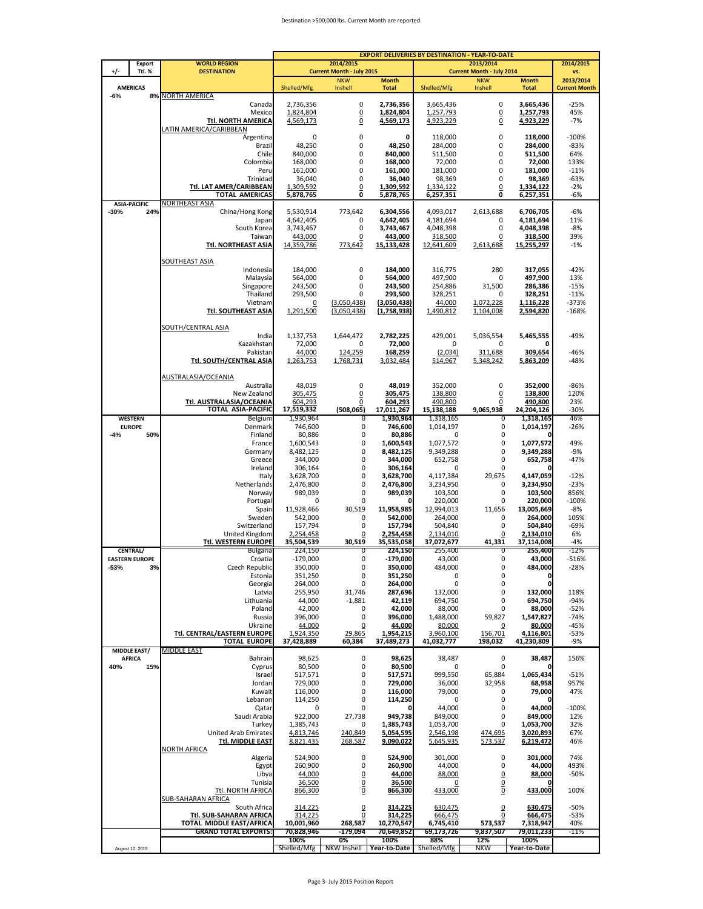#### Destination >500,000 lbs. Current Month are reported

|                                          | <b>WORLD REGION</b>                                     |                          | 2014/2015                        |                          | <b>EXPORT DELIVERIES BY DESTINATION - YEAR-TO-DATE</b> |                                               |                         |                      |
|------------------------------------------|---------------------------------------------------------|--------------------------|----------------------------------|--------------------------|--------------------------------------------------------|-----------------------------------------------|-------------------------|----------------------|
| Export<br>$+/-$<br>Ttl. %                | <b>DESTINATION</b>                                      |                          | <b>Current Month - July 2015</b> |                          |                                                        | 2013/2014<br><b>Current Month - July 2014</b> |                         | 2014/2015<br>VS.     |
|                                          |                                                         |                          | <b>NKW</b>                       | <b>Month</b>             |                                                        | <b>NKW</b>                                    | <b>Month</b>            | 2013/2014            |
| <b>AMERICAS</b><br>$-6%$<br>8%           | <b>NORTH AMERICA</b>                                    | Shelled/Mfg              | Inshell                          | <b>Total</b>             | Shelled/Mfg                                            | Inshell                                       | <b>Total</b>            | <b>Current Month</b> |
|                                          | Canada                                                  | 2,736,356                | 0                                | 2,736,356                | 3,665,436                                              | 0                                             | 3,665,436               | $-25%$               |
|                                          | Mexico                                                  | 1,824,804                | $\mathbf 0$                      | 1,824,804                | 1,257,793                                              | $\underline{0}$                               | 1,257,793               | 45%                  |
|                                          | <b>Ttl. NORTH AMERICA</b><br>LATIN AMERICA/CARIBBEAN    | 4,569,173                | $\overline{0}$                   | 4,569,173                | 4,923,229                                              | $\underline{0}$                               | 4,923,229               | $-7%$                |
|                                          | Argentina                                               | 0                        | 0                                | 0                        | 118,000                                                | 0                                             | 118,000                 | $-100%$              |
|                                          | Brazil                                                  | 48,250                   | 0                                | 48,250                   | 284,000                                                | 0                                             | 284,000                 | -83%                 |
|                                          | Chile                                                   | 840,000                  | 0                                | 840,000                  | 511,500                                                | 0                                             | 511,500                 | 64%                  |
|                                          | Colombia                                                | 168,000                  | 0<br>0                           | 168,000                  | 72,000                                                 | 0<br>0                                        | 72,000                  | 133%                 |
|                                          | Peru<br>Trinidad                                        | 161,000<br>36,040        | 0                                | 161,000<br>36,040        | 181,000<br>98,369                                      | 0                                             | 181,000<br>98,369       | $-11%$<br>$-63%$     |
|                                          | Ttl. LAT AMER/CARIBBEAN                                 | 1,309,592                | 0                                | 1,309,592                | 1,334,122                                              | $\overline{0}$                                | 1,334,122               | $-2%$                |
|                                          | <b>TOTAL AMERICAS</b>                                   | 5,878,765                | 0                                | 5,878,765                | 6,257,351                                              | 0                                             | 6,257,351               | -6%                  |
| <b>ASIA-PACIFIC</b><br>$-30%$<br>24%     | NORTHEAST ASIA<br>China/Hong Kong                       | 5,530,914                | 773,642                          | 6,304,556                | 4,093,017                                              | 2,613,688                                     | 6,706,705               | $-6%$                |
|                                          | Japan                                                   | 4,642,405                | 0                                | 4,642,405                | 4,181,694                                              | 0                                             | 4,181,694               | 11%                  |
|                                          | South Korea                                             | 3,743,467                | 0                                | 3,743,467                | 4,048,398                                              | 0                                             | 4,048,398               | -8%                  |
|                                          | Taiwan                                                  | 443,000                  | 0                                | 443,000                  | 318,500                                                | $\overline{0}$                                | 318,500                 | 39%                  |
|                                          | Ttl. NORTHEAST ASIA                                     | 14,359,786               | 773,642                          | 15,133,428               | 12,641,609                                             | 2,613,688                                     | 15,255,297              | $-1%$                |
|                                          | SOUTHEAST ASIA                                          |                          |                                  |                          |                                                        |                                               |                         |                      |
|                                          | Indonesia                                               | 184,000                  | 0                                | 184,000                  | 316,775                                                | 280                                           | 317,055                 | $-42%$               |
|                                          | Malaysia                                                | 564,000                  | 0<br>0                           | 564,000                  | 497,900                                                | 0                                             | 497,900                 | 13%                  |
|                                          | Singapore<br>Thailand                                   | 243.500<br>293,500       | 0                                | 243,500<br>293,500       | 254,886<br>328,251                                     | 31,500<br>0                                   | 286,386<br>328,251      | $-15%$<br>$-11%$     |
|                                          | Vietnam                                                 | 0                        | (3,050,438)                      | (3,050,438)              | 44,000                                                 | 1,072,228                                     | 1,116,228               | $-373%$              |
|                                          | Ttl. SOUTHEAST ASIA                                     | 1,291,500                | (3,050,438)                      | (1,758,938)              | 1,490,812                                              | 1,104,008                                     | 2,594,820               | $-168%$              |
|                                          | SOUTH/CENTRAL ASIA                                      |                          |                                  |                          |                                                        |                                               |                         |                      |
|                                          | India                                                   | 1,137,753                | 1,644,472                        | 2,782,225                | 429,001                                                | 5,036,554                                     | 5,465,555               | -49%                 |
|                                          | Kazakhstan                                              | 72,000                   | 0                                | 72,000                   | 0                                                      | 0                                             | 0                       |                      |
|                                          | Pakistan                                                | 44,000                   | 124,259                          | 168,259                  | (2,034)                                                | 311,688                                       | 309,654                 | $-46%$               |
|                                          | <b>Ttl. SOUTH/CENTRAL ASIA</b>                          | 1,263,753                | 1,768,731                        | 3,032,484                | 514,967                                                | 5,348,242                                     | 5,863,209               | -48%                 |
|                                          | AUSTRALASIA/OCEANIA                                     |                          |                                  |                          |                                                        |                                               |                         |                      |
|                                          | Australia                                               | 48,019                   | 0                                | 48,019                   | 352,000                                                | $\mathbf 0$                                   | 352,000                 | $-86%$               |
|                                          | New Zealand                                             | 305,475                  | <u>0</u>                         | 305,475                  | 138,800                                                | $\overline{0}$                                | 138,800                 | 120%                 |
|                                          | Ttl. AUSTRALASIA/OCEANIA<br>TOTAL ASIA-PACIFIC          | 604.293<br>17,519,332    | 0<br>(508, 065)                  | 604,293<br>17,011,267    | 490,800<br>15,138,188                                  | $\overline{0}$<br>9,065,938                   | 490,800<br>24,204,126   | 23%<br>$-30%$        |
| <b>WESTERN</b>                           | Belgium                                                 | 1,930,964                | 0                                | 1,930,964                | 1,318,165                                              | 0                                             | 1,318,165               | 46%                  |
| <b>EUROPE</b>                            | Denmark                                                 | 746,600                  | 0                                | 746,600                  | 1,014,197                                              | 0                                             | 1,014,197               | -26%                 |
| $-4%$<br>50%                             | Finland<br>France                                       | 80,886<br>1,600,543      | 0<br>$\mathbf 0$                 | 80,886<br>1,600,543      | 0<br>1,077,572                                         | 0<br>$\mathbf 0$                              | 0<br>1,077,572          | 49%                  |
|                                          | Germany                                                 | 8,482,125                | $\bf 0$                          | 8,482,125                | 9,349,288                                              | 0                                             | 9,349,288               | $-9%$                |
|                                          | Greece                                                  | 344,000                  | $\mathbf 0$                      | 344,000                  | 652,758                                                | 0                                             | 652,758                 | $-47%$               |
|                                          | Ireland                                                 | 306,164                  | $\mathbf 0$                      | 306,164                  | 0                                                      | 0                                             |                         |                      |
|                                          | Italy<br>Netherlands                                    | 3,628,700<br>2,476,800   | 0<br>$\mathbf 0$                 | 3,628,700<br>2,476,800   | 4,117,384<br>3,234,950                                 | 29,675<br>0                                   | 4,147,059<br>3,234,950  | $-12%$<br>$-23%$     |
|                                          | Norway                                                  | 989,039                  | 0                                | 989,039                  | 103,500                                                | $\pmb{0}$                                     | 103,500                 | 856%                 |
|                                          | Portugal                                                | 0                        | $\mathbf 0$                      |                          | 220,000                                                | 0                                             | 220,000                 | $-100%$              |
|                                          | Spain<br>Sweden                                         | 11,928,466               | 30,519                           | 11,958,985               | 12,994,013                                             | 11,656<br>0                                   | 13,005,669              | $-8%$                |
|                                          | Switzerland                                             | 542,000<br>157,794       | 0<br>$\mathbf 0$                 | 542,000<br>157,794       | 264,000<br>504,840                                     | 0                                             | 264,000<br>504,840      | 105%<br>-69%         |
|                                          | United Kingdom                                          | 2,254,458                | $\overline{0}$                   | 2,254,458                | 2,134,010                                              | 0                                             | 2,134,010               | 6%                   |
|                                          | <b>Ttl. WESTERN EUROPE</b>                              | 35,504,539               | 30,519                           | 35,535,058               | 37,072,677                                             | 41,331                                        | 37,114,008              | $-4%$                |
| <b>CENTRAL/</b><br><b>EASTERN EUROPE</b> | <b>Bulgaria</b><br>Croatia                              | 224,150<br>$-179,000$    | 0<br>0                           | 224,150<br>-179,000      | 255,400<br>43,000                                      | 0<br>0                                        | 255,400<br>43,000       | -12%<br>$-516%$      |
| -53%<br>3%                               | Czech Republic                                          | 350,000                  | 0                                | 350,000                  | 484,000                                                | 0                                             | 484,000                 | $-28%$               |
|                                          | Estonia                                                 | 351,250                  | 0                                | 351,250                  | 0                                                      | 0                                             | 0                       |                      |
|                                          | Georgia                                                 | 264,000                  | 0                                | 264,000                  | 0                                                      | 0                                             | 0                       |                      |
|                                          | Latvia<br>Lithuania                                     | 255,950<br>44,000        | 31,746<br>$-1,881$               | 287,696<br>42,119        | 132,000<br>694,750                                     | 0<br>0                                        | 132,000<br>694,750      | 118%<br>$-94%$       |
|                                          | Poland                                                  | 42,000                   | 0                                | 42,000                   | 88,000                                                 | 0                                             | 88,000                  | $-52%$               |
|                                          | Russia                                                  | 396,000                  | 0                                | 396,000                  | 1,488,000                                              | 59,827                                        | 1,547,827               | $-74%$               |
|                                          | Ukraine<br>Ttl. CENTRAL/EASTERN EUROPE                  | 44,000<br>1,924,350      | 0<br>29,865                      | 44,000<br>1,954,215      | 80,000<br>3,960,100                                    | 0<br>156,701                                  | 80,000<br>4,116,801     | $-45%$<br>$-53%$     |
|                                          | <b>TOTAL EUROPE</b>                                     | 37,428,889               | 60,384                           | 37,489,273               | 41,032,777                                             | 198,032                                       | 41,230,809              | -9%                  |
| <b>MIDDLE EAST/</b>                      | MIDDLE EAST                                             |                          |                                  |                          |                                                        |                                               |                         |                      |
| <b>AFRICA</b>                            | Bahrain                                                 | 98,625                   | 0                                | 98,625                   | 38,487                                                 | $\pmb{0}$                                     | 38,487                  | 156%                 |
| 40%<br>15%                               | Cyprus<br>Israel                                        | 80,500<br>517,571        | 0<br>0                           | 80,500<br>517,571        | 0<br>999,550                                           | 0<br>65,884                                   | 1,065,434               | $-51%$               |
|                                          | Jordan                                                  | 729,000                  | 0                                | 729,000                  | 36,000                                                 | 32,958                                        | 68,958                  | 957%                 |
|                                          | Kuwait                                                  | 116,000                  | 0                                | 116,000                  | 79,000                                                 | 0                                             | 79,000                  | 47%                  |
|                                          | Lebanon                                                 | 114,250                  | 0                                | 114,250                  | 0                                                      | 0                                             | 0                       |                      |
|                                          | Qatar<br>Saudi Arabia                                   | 0<br>922,000             | 0<br>27,738                      | 949,738                  | 44,000<br>849,000                                      | 0<br>0                                        | 44,000<br>849,000       | $-100%$<br>12%       |
|                                          | Turkey                                                  | 1,385,743                | 0                                | 1,385,743                | 1,053,700                                              | 0                                             | 1,053,700               | 32%                  |
|                                          | United Arab Emirates                                    | 4,813,746                | 240,849                          | 5,054,595                | 2,546,198                                              | 474,695                                       | 3,020,893               | 67%                  |
|                                          | <b>Ttl. MIDDLE EAST</b><br><b>NORTH AFRICA</b>          | 8,821,435                | 268,587                          | 9,090,022                | 5,645,935                                              | 573,537                                       | 6,219,472               | 46%                  |
|                                          | Algeria                                                 | 524,900                  | 0                                | 524,900                  | 301,000                                                | 0                                             | 301,000                 | 74%                  |
|                                          | Egypt                                                   | 260,900                  | 0                                | 260,900                  | 44,000                                                 | 0                                             | 44,000                  | 493%                 |
|                                          | Libya                                                   | 44,000                   | $\overline{0}$                   | 44,000                   | 88,000                                                 | $\overline{0}$                                | 88,000                  | $-50%$               |
|                                          | Tunisia                                                 | 36,500                   | $\underline{0}$                  | 36,500                   | 0                                                      | $\underline{0}$                               |                         |                      |
|                                          | <b>Ttl. NORTH AFRICA</b><br><b>SUB-SAHARAN AFRICA</b>   | 866,300                  | $\overline{0}$                   | 866,300                  | 433,000                                                | $\overline{0}$                                | 433,000                 | 100%                 |
|                                          | South Africa                                            | 314,225                  | $\overline{0}$                   | 314,225                  | 630,475                                                | $\overline{0}$                                | 630,475                 | $-50%$               |
|                                          | Ttl. SUB-SAHARAN AFRICA                                 | 314,225                  | 0                                | 314,225                  | 666,475                                                | $\pmb{0}$                                     | 666,475                 | $-53%$               |
|                                          | TOTAL MIDDLE EAST/AFRICA<br><b>GRAND TOTAL EXPORTS:</b> | 10,001,960<br>70,828,946 | 268,587<br>$-179,094$            | 10,270,547<br>70,649,852 | 6,745,410<br>69,173,726                                | 573,537<br>9,837,507                          | 7,318,947<br>79,011,233 | 40%<br>-11%          |
|                                          |                                                         | 100%                     | 0%                               | 100%                     | 88%                                                    | 12%                                           | 100%                    |                      |
| August 12, 2015                          |                                                         | Shelled/Mfg              | NKW Inshell                      | Year-to-Date             | Shelled/Mfg                                            | <b>NKW</b>                                    | Year-to-Date            |                      |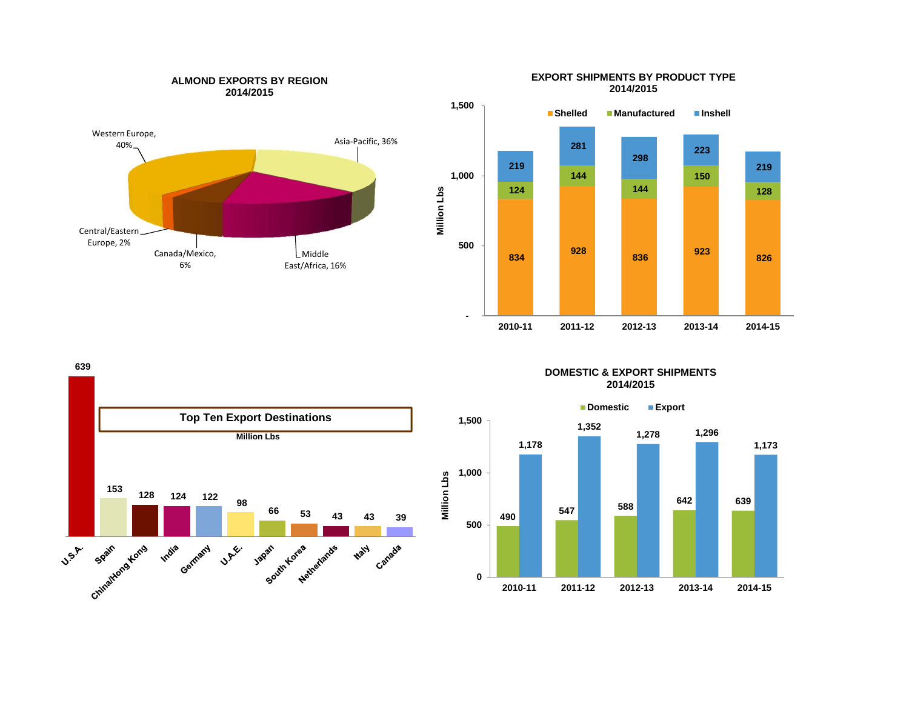

**ALMOND EXPORTS BY REGION**



**Million Lbs**

Million Lbs

**Million Lbs**

**639** 



### **DOMESTIC & EXPORT SHIPMENTS2014/2015**



#### **EXPORT SHIPMENTS BY PRODUCT TYPE 2014/2015**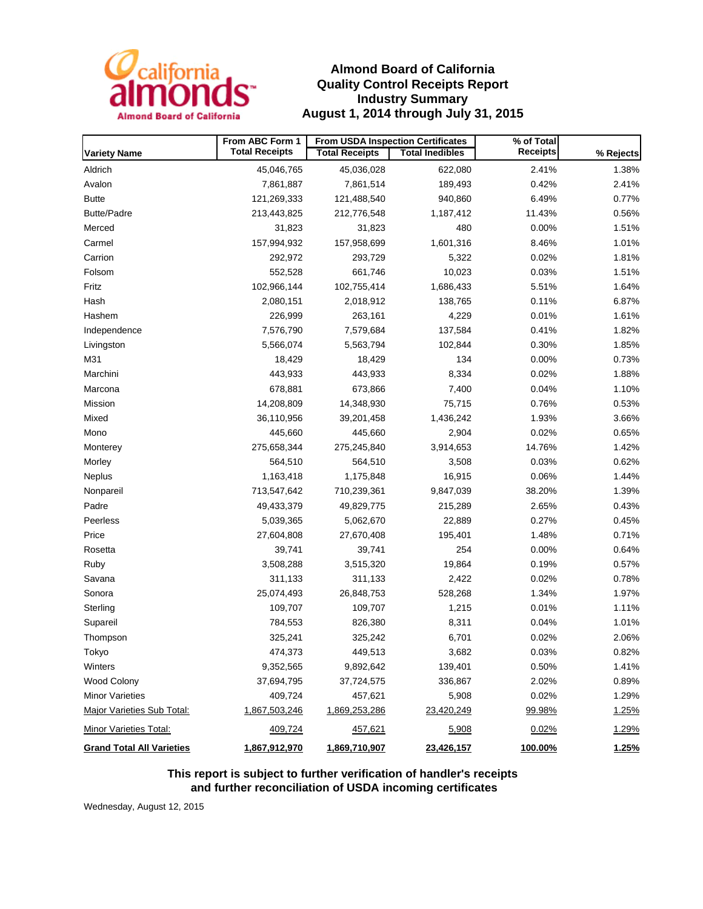

# **Almond Board of California Quality Control Receipts Report Industry Summary August 1, 2014 through July 31, 2015**

|                                  | From ABC Form 1       | From USDA Inspection Certificates |                        | % of Total      |              |
|----------------------------------|-----------------------|-----------------------------------|------------------------|-----------------|--------------|
| <b>Variety Name</b>              | <b>Total Receipts</b> | <b>Total Receipts</b>             | <b>Total Inedibles</b> | <b>Receipts</b> | % Rejects    |
| Aldrich                          | 45,046,765            | 45,036,028                        | 622,080                | 2.41%           | 1.38%        |
| Avalon                           | 7,861,887             | 7,861,514                         | 189,493                | 0.42%           | 2.41%        |
| <b>Butte</b>                     | 121,269,333           | 121,488,540                       | 940,860                | 6.49%           | 0.77%        |
| <b>Butte/Padre</b>               | 213,443,825           | 212,776,548                       | 1,187,412              | 11.43%          | 0.56%        |
| Merced                           | 31,823                | 31,823                            | 480                    | 0.00%           | 1.51%        |
| Carmel                           | 157,994,932           | 157,958,699                       | 1,601,316              | 8.46%           | 1.01%        |
| Carrion                          | 292,972               | 293,729                           | 5,322                  | 0.02%           | 1.81%        |
| Folsom                           | 552,528               | 661,746                           | 10,023                 | 0.03%           | 1.51%        |
| Fritz                            | 102,966,144           | 102,755,414                       | 1,686,433              | 5.51%           | 1.64%        |
| Hash                             | 2,080,151             | 2,018,912                         | 138,765                | 0.11%           | 6.87%        |
| Hashem                           | 226,999               | 263,161                           | 4,229                  | 0.01%           | 1.61%        |
| Independence                     | 7,576,790             | 7,579,684                         | 137,584                | 0.41%           | 1.82%        |
| Livingston                       | 5,566,074             | 5,563,794                         | 102,844                | 0.30%           | 1.85%        |
| M31                              | 18,429                | 18,429                            | 134                    | 0.00%           | 0.73%        |
| Marchini                         | 443,933               | 443,933                           | 8,334                  | 0.02%           | 1.88%        |
| Marcona                          | 678,881               | 673,866                           | 7,400                  | 0.04%           | 1.10%        |
| Mission                          | 14,208,809            | 14,348,930                        | 75,715                 | 0.76%           | 0.53%        |
| Mixed                            | 36,110,956            | 39,201,458                        | 1,436,242              | 1.93%           | 3.66%        |
| Mono                             | 445,660               | 445,660                           | 2,904                  | 0.02%           | 0.65%        |
| Monterey                         | 275,658,344           | 275,245,840                       | 3,914,653              | 14.76%          | 1.42%        |
| Morley                           | 564,510               | 564,510                           | 3,508                  | 0.03%           | 0.62%        |
| Neplus                           | 1,163,418             | 1,175,848                         | 16,915                 | 0.06%           | 1.44%        |
| Nonpareil                        | 713,547,642           | 710,239,361                       | 9,847,039              | 38.20%          | 1.39%        |
| Padre                            | 49,433,379            | 49,829,775                        | 215,289                | 2.65%           | 0.43%        |
| Peerless                         | 5,039,365             | 5,062,670                         | 22,889                 | 0.27%           | 0.45%        |
| Price                            | 27,604,808            | 27,670,408                        | 195,401                | 1.48%           | 0.71%        |
| Rosetta                          | 39,741                | 39,741                            | 254                    | 0.00%           | 0.64%        |
| Ruby                             | 3,508,288             | 3,515,320                         | 19,864                 | 0.19%           | 0.57%        |
| Savana                           | 311,133               | 311,133                           | 2,422                  | 0.02%           | 0.78%        |
| Sonora                           | 25,074,493            | 26,848,753                        | 528,268                | 1.34%           | 1.97%        |
| Sterling                         | 109,707               | 109,707                           | 1,215                  | 0.01%           | 1.11%        |
| Supareil                         | 784,553               | 826,380                           | 8,311                  | 0.04%           | 1.01%        |
| Thompson                         | 325,241               | 325,242                           | 6,701                  | 0.02%           | 2.06%        |
| Tokyo                            | 474,373               | 449,513                           | 3,682                  | 0.03%           | 0.82%        |
| Winters                          | 9,352,565             | 9,892,642                         | 139,401                | 0.50%           | 1.41%        |
| Wood Colony                      | 37,694,795            | 37,724,575                        | 336,867                | 2.02%           | 0.89%        |
| <b>Minor Varieties</b>           | 409,724               | 457,621                           | 5,908                  | 0.02%           | 1.29%        |
| Major Varieties Sub Total:       | 1,867,503,246         | 1,869,253,286                     | 23,420,249             | 99.98%          | 1.25%        |
| Minor Varieties Total:           | 409,724               | 457,621                           | 5,908                  | 0.02%           | 1.29%        |
| <b>Grand Total All Varieties</b> | 1,867,912,970         | 1,869,710,907                     | 23,426,157             | 100.00%         | <u>1.25%</u> |

**This report is subject to further verification of handler's receipts and further reconciliation of USDA incoming certificates**

Wednesday, August 12, 2015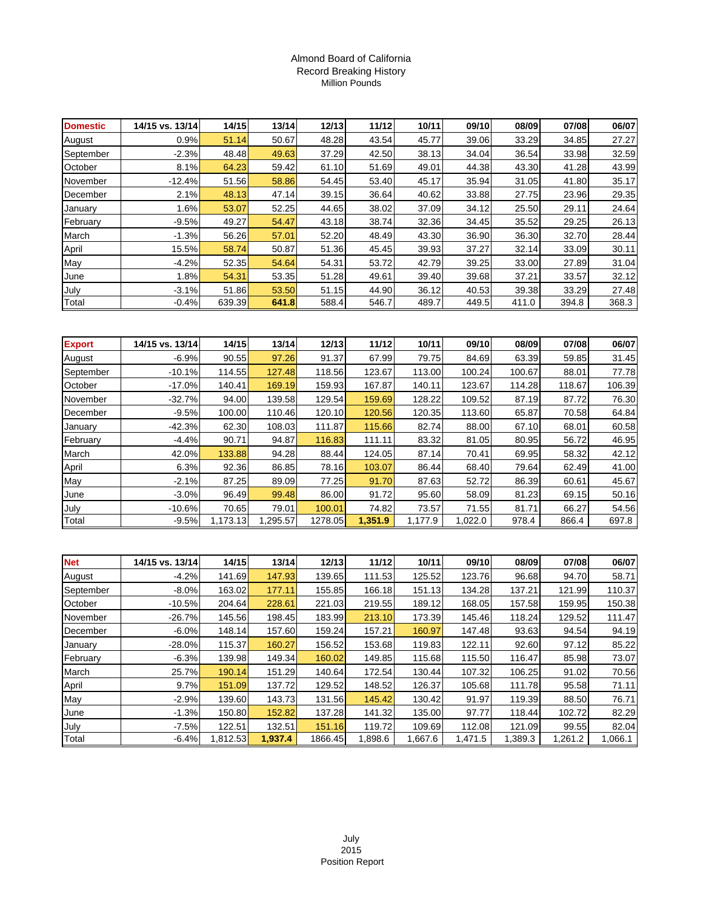### Almond Board of California Record Breaking History Million Pounds

| <b>Domestic</b> | 14/15 vs. 13/14 | 14/15  | 13/14 | 12/13 | 11/12 | 10/11 | 09/10 | 08/09 | 07/08 | 06/07 |
|-----------------|-----------------|--------|-------|-------|-------|-------|-------|-------|-------|-------|
| August          | 0.9%            | 51.14  | 50.67 | 48.28 | 43.54 | 45.77 | 39.06 | 33.29 | 34.85 | 27.27 |
| September       | $-2.3%$         | 48.48  | 49.63 | 37.29 | 42.50 | 38.13 | 34.04 | 36.54 | 33.98 | 32.59 |
| October         | 8.1%            | 64.23  | 59.42 | 61.10 | 51.69 | 49.01 | 44.38 | 43.30 | 41.28 | 43.99 |
| November        | $-12.4%$        | 51.56  | 58.86 | 54.45 | 53.40 | 45.17 | 35.94 | 31.05 | 41.80 | 35.17 |
| December        | 2.1%            | 48.13  | 47.14 | 39.15 | 36.64 | 40.62 | 33.88 | 27.75 | 23.96 | 29.35 |
| January         | 1.6%            | 53.07  | 52.25 | 44.65 | 38.02 | 37.09 | 34.12 | 25.50 | 29.11 | 24.64 |
| February        | $-9.5%$         | 49.27  | 54.47 | 43.18 | 38.74 | 32.36 | 34.45 | 35.52 | 29.25 | 26.13 |
| March           | $-1.3%$         | 56.26  | 57.01 | 52.20 | 48.49 | 43.30 | 36.90 | 36.30 | 32.70 | 28.44 |
| April           | 15.5%           | 58.74  | 50.87 | 51.36 | 45.45 | 39.93 | 37.27 | 32.14 | 33.09 | 30.11 |
| May             | $-4.2%$         | 52.35  | 54.64 | 54.31 | 53.72 | 42.79 | 39.25 | 33.00 | 27.89 | 31.04 |
| June            | 1.8%            | 54.31  | 53.35 | 51.28 | 49.61 | 39.40 | 39.68 | 37.21 | 33.57 | 32.12 |
| July            | $-3.1%$         | 51.86  | 53.50 | 51.15 | 44.90 | 36.12 | 40.53 | 39.38 | 33.29 | 27.48 |
| Total           | $-0.4%$         | 639.39 | 641.8 | 588.4 | 546.7 | 489.7 | 449.5 | 411.0 | 394.8 | 368.3 |

| <b>Export</b> | 14/15 vs. 13/14 | 14/15    | 13/14    | 12/13   | 11/12   | 10/11   | 09/10   | 08/09  | 07/08  | 06/07  |
|---------------|-----------------|----------|----------|---------|---------|---------|---------|--------|--------|--------|
| August        | $-6.9%$         | 90.55    | 97.26    | 91.37   | 67.99   | 79.75   | 84.69   | 63.39  | 59.85  | 31.45  |
| September     | $-10.1%$        | 114.55   | 127.48   | 118.56  | 123.67  | 113.00  | 100.24  | 100.67 | 88.01  | 77.78  |
| October       | $-17.0\%$       | 140.41   | 169.19   | 159.93  | 167.87  | 140.11  | 123.67  | 114.28 | 118.67 | 106.39 |
| November      | $-32.7\%$       | 94.00    | 139.58   | 129.54  | 159.69  | 128.22  | 109.52  | 87.19  | 87.72  | 76.30  |
| December      | $-9.5%$         | 100.00   | 110.46   | 120.10  | 120.56  | 120.35  | 113.60  | 65.87  | 70.58  | 64.84  |
| January       | $-42.3%$        | 62.30    | 108.03   | 111.87  | 115.66  | 82.74   | 88.00   | 67.10  | 68.01  | 60.58  |
| February      | $-4.4%$         | 90.71    | 94.87    | 116.83  | 111.11  | 83.32   | 81.05   | 80.95  | 56.72  | 46.95  |
| March         | 42.0%           | 133.88   | 94.28    | 88.44   | 124.05  | 87.14   | 70.41   | 69.95  | 58.32  | 42.12  |
| April         | 6.3%            | 92.36    | 86.85    | 78.16   | 103.07  | 86.44   | 68.40   | 79.64  | 62.49  | 41.00  |
| May           | $-2.1%$         | 87.25    | 89.09    | 77.25   | 91.70   | 87.63   | 52.72   | 86.39  | 60.61  | 45.67  |
| June          | $-3.0%$         | 96.49    | 99.48    | 86.00   | 91.72   | 95.60   | 58.09   | 81.23  | 69.15  | 50.16  |
| July          | $-10.6\%$       | 70.65    | 79.01    | 100.01  | 74.82   | 73.57   | 71.55   | 81.71  | 66.27  | 54.56  |
| Total         | $-9.5%$         | 1,173.13 | 1,295.57 | 1278.05 | 1,351.9 | 1,177.9 | 1,022.0 | 978.4  | 866.4  | 697.8  |

| <b>Net</b> | 14/15 vs. 13/14 | 14/15    | 13/14   | 12/13   | 11/12   | 10/11   | 09/10   | 08/09   | 07/08   | 06/07   |
|------------|-----------------|----------|---------|---------|---------|---------|---------|---------|---------|---------|
| August     | $-4.2%$         | 141.69   | 147.93  | 139.65  | 111.53  | 125.52  | 123.76  | 96.68   | 94.70   | 58.71   |
| September  | $-8.0\%$        | 163.02   | 177.11  | 155.85  | 166.18  | 151.13  | 134.28  | 137.21  | 121.99  | 110.37  |
| October    | $-10.5%$        | 204.64   | 228.61  | 221.03  | 219.55  | 189.12  | 168.05  | 157.58  | 159.95  | 150.38  |
| November   | $-26.7\%$       | 145.56   | 198.45  | 183.99  | 213.10  | 173.39  | 145.46  | 118.24  | 129.52  | 111.47  |
| December   | $-6.0%$         | 148.14   | 157.60  | 159.24  | 157.21  | 160.97  | 147.48  | 93.63   | 94.54   | 94.19   |
| January    | $-28.0\%$       | 115.37   | 160.27  | 156.52  | 153.68  | 119.83  | 122.11  | 92.60   | 97.12   | 85.22   |
| February   | $-6.3%$         | 139.98   | 149.34  | 160.02  | 149.85  | 115.68  | 115.50  | 116.47  | 85.98   | 73.07   |
| March      | 25.7%           | 190.14   | 151.29  | 140.64  | 172.54  | 130.44  | 107.32  | 106.25  | 91.02   | 70.56   |
| April      | 9.7%            | 151.09   | 137.72  | 129.52  | 148.52  | 126.37  | 105.68  | 111.78  | 95.58   | 71.11   |
| May        | $-2.9%$         | 139.60   | 143.73  | 131.56  | 145.42  | 130.42  | 91.97   | 119.39  | 88.50   | 76.71   |
| June       | $-1.3%$         | 150.80   | 152.82  | 137.28  | 141.32  | 135.00  | 97.77   | 118.44  | 102.72  | 82.29   |
| July       | $-7.5%$         | 122.51   | 132.51  | 151.16  | 119.72  | 109.69  | 112.08  | 121.09  | 99.55   | 82.04   |
| Total      | $-6.4%$         | 1,812.53 | 1.937.4 | 1866.45 | 1,898.6 | 1,667.6 | 1,471.5 | 1,389.3 | 1,261.2 | 1,066.1 |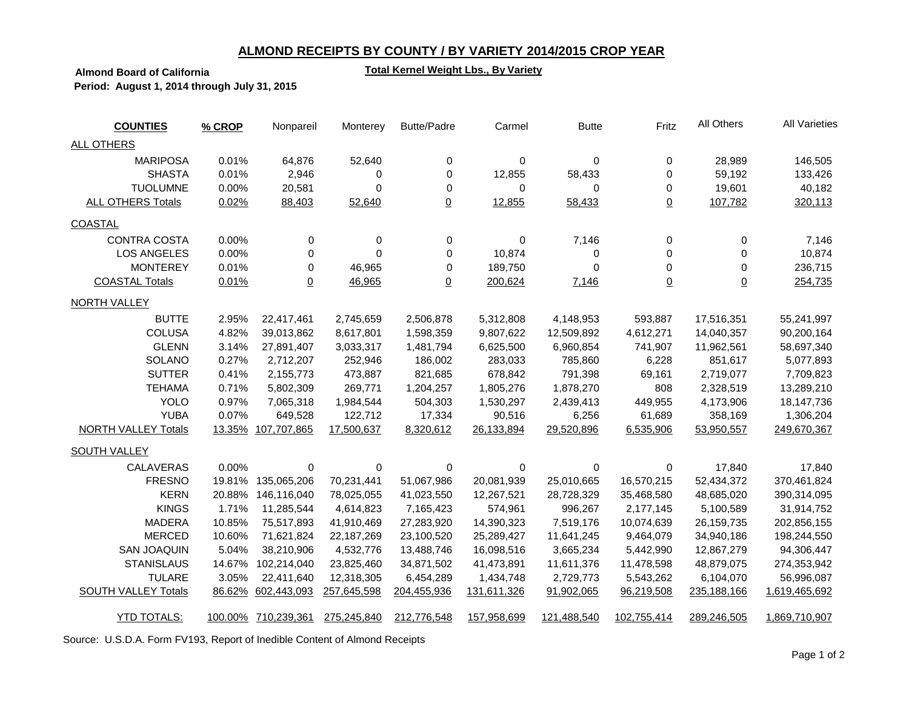# **ALMOND RECEIPTS BY COUNTY / BY VARIETY 2014/2015 CROP YEAR**

### **Total Kernel Weight Lbs., By Variety**

**Almond Board of California Period: August 1, 2014 through July 31, 2015**

| <b>COUNTIES</b>            | % CROP | Nonpareil           | Monterey    | <b>Butte/Padre</b> | Carmel      | <b>Butte</b> | Fritz           | All Others     | <b>All Varieties</b> |
|----------------------------|--------|---------------------|-------------|--------------------|-------------|--------------|-----------------|----------------|----------------------|
| <b>ALL OTHERS</b>          |        |                     |             |                    |             |              |                 |                |                      |
| <b>MARIPOSA</b>            | 0.01%  | 64,876              | 52,640      | 0                  | 0           | 0            | 0               | 28,989         | 146,505              |
| <b>SHASTA</b>              | 0.01%  | 2,946               | 0           | $\mathbf 0$        | 12,855      | 58,433       | 0               | 59,192         | 133,426              |
| <b>TUOLUMNE</b>            | 0.00%  | 20,581              | 0           | 0                  | 0           | $\Omega$     | 0               | 19,601         | 40,182               |
| <b>ALL OTHERS Totals</b>   | 0.02%  | 88,403              | 52,640      | $\overline{0}$     | 12,855      | 58,433       | $\underline{0}$ | 107,782        | 320,113              |
| <b>COASTAL</b>             |        |                     |             |                    |             |              |                 |                |                      |
| <b>CONTRA COSTA</b>        | 0.00%  | 0                   | 0           | 0                  | 0           | 7,146        | 0               | 0              | 7,146                |
| <b>LOS ANGELES</b>         | 0.00%  | 0                   | 0           | 0                  | 10,874      | 0            | 0               | 0              | 10,874               |
| <b>MONTEREY</b>            | 0.01%  | $\mathbf 0$         | 46,965      | 0                  | 189,750     | $\mathbf 0$  | 0               | 0              | 236,715              |
| <b>COASTAL Totals</b>      | 0.01%  | $\underline{0}$     | 46,965      | $\overline{0}$     | 200,624     | 7,146        | $\underline{0}$ | $\overline{0}$ | 254,735              |
| <b>NORTH VALLEY</b>        |        |                     |             |                    |             |              |                 |                |                      |
| <b>BUTTE</b>               | 2.95%  | 22,417,461          | 2,745,659   | 2,506,878          | 5,312,808   | 4,148,953    | 593,887         | 17,516,351     | 55,241,997           |
| <b>COLUSA</b>              | 4.82%  | 39,013,862          | 8,617,801   | 1,598,359          | 9,807,622   | 12,509,892   | 4,612,271       | 14,040,357     | 90,200,164           |
| <b>GLENN</b>               | 3.14%  | 27,891,407          | 3,033,317   | 1,481,794          | 6,625,500   | 6,960,854    | 741,907         | 11,962,561     | 58,697,340           |
| SOLANO                     | 0.27%  | 2,712,207           | 252,946     | 186,002            | 283,033     | 785,860      | 6,228           | 851,617        | 5,077,893            |
| <b>SUTTER</b>              | 0.41%  | 2,155,773           | 473,887     | 821,685            | 678,842     | 791,398      | 69,161          | 2,719,077      | 7,709,823            |
| <b>TEHAMA</b>              | 0.71%  | 5,802,309           | 269,771     | 1,204,257          | 1,805,276   | 1,878,270    | 808             | 2,328,519      | 13,289,210           |
| <b>YOLO</b>                | 0.97%  | 7,065,318           | 1,984,544   | 504,303            | 1,530,297   | 2,439,413    | 449,955         | 4,173,906      | 18, 147, 736         |
| <b>YUBA</b>                | 0.07%  | 649,528             | 122,712     | 17,334             | 90,516      | 6,256        | 61,689          | 358,169        | 1,306,204            |
| <b>NORTH VALLEY Totals</b> |        | 13.35% 107,707,865  | 17,500,637  | 8,320,612          | 26,133,894  | 29,520,896   | 6,535,906       | 53,950,557     | 249,670,367          |
| SOUTH VALLEY               |        |                     |             |                    |             |              |                 |                |                      |
| <b>CALAVERAS</b>           | 0.00%  | $\mathbf 0$         | 0           | 0                  | 0           | 0            | 0               | 17,840         | 17,840               |
| <b>FRESNO</b>              | 19.81% | 135,065,206         | 70,231,441  | 51,067,986         | 20,081,939  | 25,010,665   | 16,570,215      | 52,434,372     | 370,461,824          |
| <b>KERN</b>                | 20.88% | 146,116,040         | 78,025,055  | 41,023,550         | 12,267,521  | 28,728,329   | 35,468,580      | 48,685,020     | 390,314,095          |
| <b>KINGS</b>               | 1.71%  | 11,285,544          | 4,614,823   | 7,165,423          | 574,961     | 996,267      | 2,177,145       | 5,100,589      | 31,914,752           |
| <b>MADERA</b>              | 10.85% | 75,517,893          | 41,910,469  | 27,283,920         | 14,390,323  | 7,519,176    | 10,074,639      | 26,159,735     | 202,856,155          |
| <b>MERCED</b>              | 10.60% | 71,621,824          | 22,187,269  | 23,100,520         | 25,289,427  | 11,641,245   | 9,464,079       | 34,940,186     | 198,244,550          |
| <b>SAN JOAQUIN</b>         | 5.04%  | 38,210,906          | 4,532,776   | 13,488,746         | 16,098,516  | 3,665,234    | 5,442,990       | 12,867,279     | 94,306,447           |
| <b>STANISLAUS</b>          | 14.67% | 102,214,040         | 23,825,460  | 34,871,502         | 41,473,891  | 11,611,376   | 11,478,598      | 48,879,075     | 274,353,942          |
| <b>TULARE</b>              | 3.05%  | 22,411,640          | 12,318,305  | 6,454,289          | 1,434,748   | 2,729,773    | 5,543,262       | 6,104,070      | 56,996,087           |
| <b>SOUTH VALLEY Totals</b> |        | 86.62% 602,443,093  | 257,645,598 | 204,455,936        | 131,611,326 | 91,902,065   | 96,219,508      | 235, 188, 166  | 1,619,465,692        |
| <b>YTD TOTALS:</b>         |        | 100.00% 710,239,361 | 275,245,840 | 212,776,548        | 157,958,699 | 121,488,540  | 102,755,414     | 289,246,505    | 1,869,710,907        |

Source: U.S.D.A. Form FV193, Report of Inedible Content of Almond Receipts